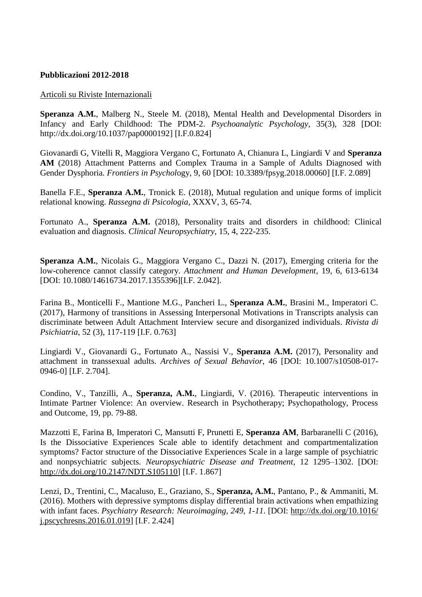### **Pubblicazioni 2012-2018**

#### Articoli su Riviste Internazionali

**Speranza A.M.**, Malberg N., Steele M. (2018), Mental Health and Developmental Disorders in Infancy and Early Childhood: The PDM-2. *Psychoanalytic Psychology*, 35(3), 328 [DOI: http://dx.doi.org/10.1037/pap0000192] [I.F.0.824]

Giovanardi G, Vitelli R, Maggiora Vergano C, Fortunato A, Chianura L, Lingiardi V and **Speranza AM** (2018) Attachment Patterns and Complex Trauma in a Sample of Adults Diagnosed with Gender Dysphoria. *Frontiers in Psychol*ogy, 9, 60 [DOI: 10.3389/fpsyg.2018.00060] [I.F. 2.089]

Banella F.E., **Speranza A.M.**, Tronick E. (2018), Mutual regulation and unique forms of implicit relational knowing. *Rassegna di Psicologia*, XXXV, 3, 65-74.

Fortunato A., **Speranza A.M.** (2018), Personality traits and disorders in childhood: Clinical evaluation and diagnosis. *Clinical Neuropsychiatry*, 15, 4, 222-235.

**Speranza A.M.**, Nicolais G., Maggiora Vergano C., Dazzi N. (2017), Emerging criteria for the low-coherence cannot classify category. *Attachment and Human Development*, 19, 6, 613-6134 [DOI: 10.1080/14616734.2017.1355396][I.F. 2.042].

Farina B., Monticelli F., Mantione M.G., Pancheri L., **Speranza A.M.**, Brasini M., Imperatori C. (2017), Harmony of transitions in Assessing Interpersonal Motivations in Transcripts analysis can discriminate between Adult Attachment Interview secure and disorganized individuals. *Rivista di Psichiatria*, 52 (3), 117-119 [I.F. 0.763]

Lingiardi V., Giovanardi G., Fortunato A., Nassisi V., **Speranza A.M.** (2017), Personality and attachment in transsexual adults. *Archives of Sexual Behavior*, 46 [DOI: 10.1007/s10508-017- 0946-0] [I.F. 2.704].

Condino, V., Tanzilli, A., **Speranza, A.M.**, Lingiardi, V. (2016). Therapeutic interventions in Intimate Partner Violence: An overview. Research in Psychotherapy; Psychopathology, Process and Outcome, 19, pp. 79-88.

Mazzotti E, Farina B, Imperatori C, Mansutti F, Prunetti E, **Speranza AM**, Barbaranelli C (2016), Is the Dissociative Experiences Scale able to identify detachment and compartmentalization symptoms? Factor structure of the Dissociative Experiences Scale in a large sample of psychiatric and nonpsychiatric subjects. *Neuropsychiatric Disease and Treatment*, 12 1295–1302. [DOI: [http://dx.doi.org/10.2147/NDT.S105110\]](http://dx.doi.org/10.2147/NDT.S105110) [I.F. 1.867]

Lenzi, D., Trentini, C., Macaluso, E., Graziano, S., **Speranza, A.M.**, Pantano, P., & Ammaniti, M. (2016). Mothers with depressive symptoms display differential brain activations when empathizing with infant faces. *Psychiatry Research: Neuroimaging, 249, 1-11*. [DOI: [http://dx.doi.org/10.1016/](http://dx.doi.org/10.1016/%20j.pscychresns.2016.01.019)  [j.pscychresns.2016.01.019\]](http://dx.doi.org/10.1016/%20j.pscychresns.2016.01.019) [I.F. 2.424]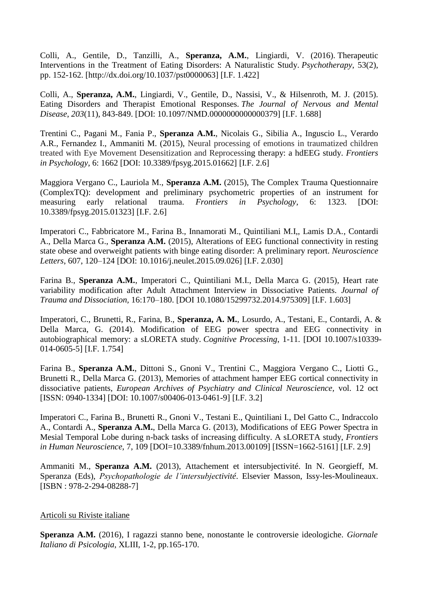Colli, A., Gentile, D., Tanzilli, A., **Speranza, A.M.**, Lingiardi, V. (2016). Therapeutic Interventions in the Treatment of Eating Disorders: A Naturalistic Study. *Psychotherapy*, 53(2), pp. 152-162. [http://dx.doi.org/10.1037/pst0000063] [I.F. 1.422]

Colli, A., **Speranza, A.M.**, Lingiardi, V., Gentile, D., Nassisi, V., & Hilsenroth, M. J. (2015). Eating Disorders and Therapist Emotional Responses. *The Journal of Nervous and Mental Disease*, *203*(11), 843-849. [DOI: 10.1097/NMD.0000000000000379] [I.F. 1.688]

Trentini C., Pagani M., Fania P., **Speranza A.M.**, Nicolais G., Sibilia A., Inguscio L., Verardo A.R., Fernandez I., Ammaniti M. (2015), Neural processing of emotions in traumatized children treated with Eye Movement Desensitization and Reprocessing therapy: a hdEEG study. *Frontiers in Psychology*, 6: 1662 [DOI: 10.3389/fpsyg.2015.01662] [I.F. 2.6]

Maggiora Vergano C., Lauriola M., **Speranza A.M.** (2015), The Complex Trauma Questionnaire (ComplexTQ): development and preliminary psychometric properties of an instrument for measuring early relational trauma. *Frontiers in Psychology,* 6: 1323. [DOI: 10.3389/fpsyg.2015.01323] [I.F. 2.6]

Imperatori C., Fabbricatore M., Farina B., Innamorati M., Quintiliani M.I,, Lamis D.A., Contardi A., Della Marca G., **Speranza A.M.** (2015), Alterations of EEG functional connectivity in resting state obese and overweight patients with binge eating disorder: A preliminary report. *Neuroscience Letters*, 607, 120–124 [DOI: 10.1016/j.neulet.2015.09.026] [I.F. 2.030]

Farina B., **Speranza A.M.**, Imperatori C., Quintiliani M.I., Della Marca G. (2015), Heart rate variability modification after Adult Attachment Interview in Dissociative Patients. *Journal of Trauma and Dissociation,* 16:170–180. [DOI 10.1080/15299732.2014.975309] [I.F. 1.603]

Imperatori, C., Brunetti, R., Farina, B., **Speranza, A. M.**, Losurdo, A., Testani, E., Contardi, A. & Della Marca, G. (2014). Modification of EEG power spectra and EEG connectivity in autobiographical memory: a sLORETA study. *Cognitive Processing*, 1-11. [DOI 10.1007/s10339- 014-0605-5] [I.F. 1.754]

Farina B., **Speranza A.M.**, Dittoni S., Gnoni V., Trentini C., Maggiora Vergano C., Liotti G., Brunetti R., Della Marca G. (2013), Memories of attachment hamper EEG cortical connectivity in dissociative patients, *European Archives of Psychiatry and Clinical Neuroscience,* vol. 12 oct [ISSN: 0940-1334] [DOI: 10.1007/s00406-013-0461-9] [I.F. 3.2]

Imperatori C., Farina B., Brunetti R., Gnoni V., Testani E., Quintiliani I., Del Gatto C., Indraccolo A., Contardi A., **Speranza A.M.**, Della Marca G. (2013), Modifications of EEG Power Spectra in Mesial Temporal Lobe during n-back tasks of increasing difficulty. A sLORETA study, *Frontiers in Human Neuroscience*, 7, 109 [DOI=10.3389/fnhum.2013.00109] [ISSN=1662-5161] [I.F. 2.9]

Ammaniti M., **Speranza A.M.** (2013), Attachement et intersubjectivité. In N. Georgieff, M. Speranza (Eds), *Psychopathologie de l'intersubjectivité*. Elsevier Masson, Issy-les-Moulineaux. [ISBN : 978-2-294-08288-7]

#### Articoli su Riviste italiane

**Speranza A.M.** (2016), I ragazzi stanno bene, nonostante le controversie ideologiche. *Giornale Italiano di Psicologia*, XLIII, 1-2, pp.165-170.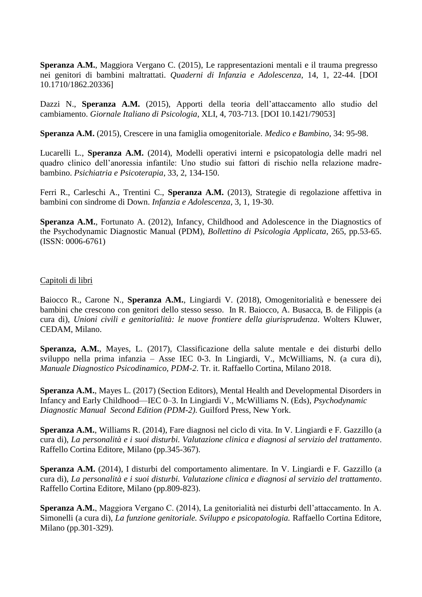**Speranza A.M.**, Maggiora Vergano C. (2015), Le rappresentazioni mentali e il trauma pregresso nei genitori di bambini maltrattati. *Quaderni di Infanzia e Adolescenza*, 14, 1, 22-44. [DOI 10.1710/1862.20336]

Dazzi N., **Speranza A.M.** (2015), Apporti della teoria dell'attaccamento allo studio del cambiamento. *Giornale Italiano di Psicologia*, XLI, 4, 703-713. [DOI 10.1421/79053]

**Speranza A.M.** (2015), Crescere in una famiglia omogenitoriale. *Medico e Bambino*, 34: 95-98.

Lucarelli L., **Speranza A.M.** (2014), Modelli operativi interni e psicopatologia delle madri nel quadro clinico dell'anoressia infantile: Uno studio sui fattori di rischio nella relazione madrebambino. *Psichiatria e Psicoterapia*, 33, 2, 134-150.

Ferri R., Carleschi A., Trentini C., **Speranza A.M.** (2013), Strategie di regolazione affettiva in bambini con sindrome di Down. *Infanzia e Adolescenza*, 3, 1, 19-30.

**Speranza A.M.**, Fortunato A. (2012), Infancy, Childhood and Adolescence in the Diagnostics of the Psychodynamic Diagnostic Manual (PDM), *Bollettino di Psicologia Applicata*, 265, pp.53-65. (ISSN: 0006-6761)

## Capitoli di libri

Baiocco R., Carone N., **Speranza A.M.**, Lingiardi V. (2018), Omogenitorialità e benessere dei bambini che crescono con genitori dello stesso sesso. In R. Baiocco, A. Busacca, B. de Filippis (a cura di), *Unioni civili e genitorialità: le nuove frontiere della giurisprudenza*. Wolters Kluwer, CEDAM, Milano.

**Speranza, A.M.**, Mayes, L. (2017), Classificazione della salute mentale e dei disturbi dello sviluppo nella prima infanzia – Asse IEC 0-3. In Lingiardi, V., McWilliams, N. (a cura di), *Manuale Diagnostico Psicodinamico, PDM-2*. Tr. it. Raffaello Cortina, Milano 2018.

**Speranza A.M.**, Mayes L. (2017) (Section Editors), Mental Health and Developmental Disorders in Infancy and Early Childhood—IEC 0–3. In Lingiardi V., McWilliams N. (Eds), *Psychodynamic Diagnostic Manual Second Edition (PDM-2)*. Guilford Press, New York.

**Speranza A.M.**, Williams R. (2014), Fare diagnosi nel ciclo di vita. In V. Lingiardi e F. Gazzillo (a cura di), *La personalità e i suoi disturbi. Valutazione clinica e diagnosi al servizio del trattamento*. Raffello Cortina Editore, Milano (pp.345-367).

**Speranza A.M.** (2014), I disturbi del comportamento alimentare. In V. Lingiardi e F. Gazzillo (a cura di), *La personalità e i suoi disturbi. Valutazione clinica e diagnosi al servizio del trattamento*. Raffello Cortina Editore, Milano (pp.809-823).

**Speranza A.M.**, Maggiora Vergano C. (2014), La genitorialità nei disturbi dell'attaccamento. In A. Simonelli (a cura di), *La funzione genitoriale. Sviluppo e psicopatologia.* Raffaello Cortina Editore, Milano (pp.301-329).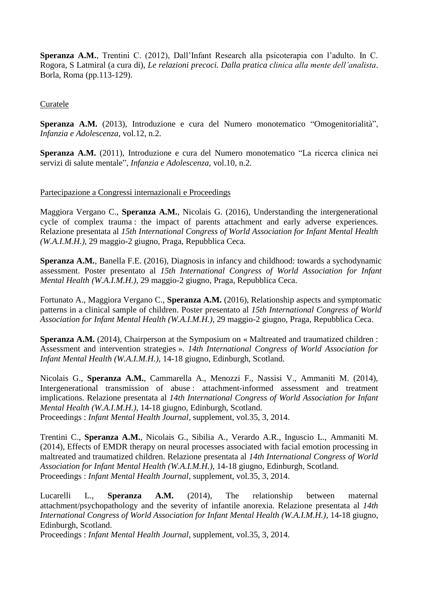**Speranza A.M.**, Trentini C. (2012), Dall'Infant Research alla psicoterapia con l'adulto. In C. Rogora, S Latmiral (a cura di), *Le relazioni precoci. Dalla pratica clinica alla mente dell'analista*. Borla, Roma (pp.113-129).

# Curatele

**Speranza A.M.** (2013), Introduzione e cura del Numero monotematico "Omogenitorialità", *Infanzia e Adolescenza*, vol.12, n.2.

**Speranza A.M.** (2011), Introduzione e cura del Numero monotematico "La ricerca clinica nei servizi di salute mentale", *Infanzia e Adolescenza*, vol.10, n.2.

# Partecipazione a Congressi internazionali e Proceedings

Maggiora Vergano C., **Speranza A.M.**, Nicolais G. (2016), Understanding the intergenerational cycle of complex trauma : the impact of parents attachment and early adverse experiences. Relazione presentata al *15th International Congress of World Association for Infant Mental Health (W.A.I.M.H.)*, 29 maggio-2 giugno, Praga, Repubblica Ceca.

**Speranza A.M.**, Banella F.E. (2016), Diagnosis in infancy and childhood: towards a sychodynamic assessment. Poster presentato al *15th International Congress of World Association for Infant Mental Health (W.A.I.M.H.)*, 29 maggio-2 giugno, Praga, Repubblica Ceca.

Fortunato A., Maggiora Vergano C., **Speranza A.M.** (2016), Relationship aspects and symptomatic patterns in a clinical sample of children. Poster presentato al *15th International Congress of World Association for Infant Mental Health (W.A.I.M.H.)*, 29 maggio-2 giugno, Praga, Repubblica Ceca.

**Speranza A.M.** (2014), Chairperson at the Symposium on « Maltreated and traumatized children : Assessment and intervention strategies ». *14th International Congress of World Association for Infant Mental Health (W.A.I.M.H.)*, 14-18 giugno, Edinburgh, Scotland.

Nicolais G., **Speranza A.M.**, Cammarella A., Menozzi F., Nassisi V., Ammaniti M. (2014), Intergenerational transmission of abuse : attachment-informed assessment and treatment implications. Relazione presentata al *14th International Congress of World Association for Infant Mental Health (W.A.I.M.H.)*, 14-18 giugno, Edinburgh, Scotland. Proceedings : *Infant Mental Health Journal*, supplement, vol.35, 3, 2014.

Trentini C., **Speranza A.M.**, Nicolais G., Sibilia A., Verardo A.R., Inguscio L., Ammaniti M. (2014), Effects of EMDR therapy on neural processes associated with facial emotion processing in maltreated and traumatized children. Relazione presentata al *14th International Congress of World Association for Infant Mental Health (W.A.I.M.H.)*, 14-18 giugno, Edinburgh, Scotland. Proceedings : *Infant Mental Health Journal*, supplement, vol.35, 3, 2014.

Lucarelli L., **Speranza A.M.** (2014), The relationship between maternal attachment/psychopathology and the severity of infantile anorexia. Relazione presentata al *14th International Congress of World Association for Infant Mental Health (W.A.I.M.H.)*, 14-18 giugno, Edinburgh, Scotland.

Proceedings : *Infant Mental Health Journal*, supplement, vol.35, 3, 2014.